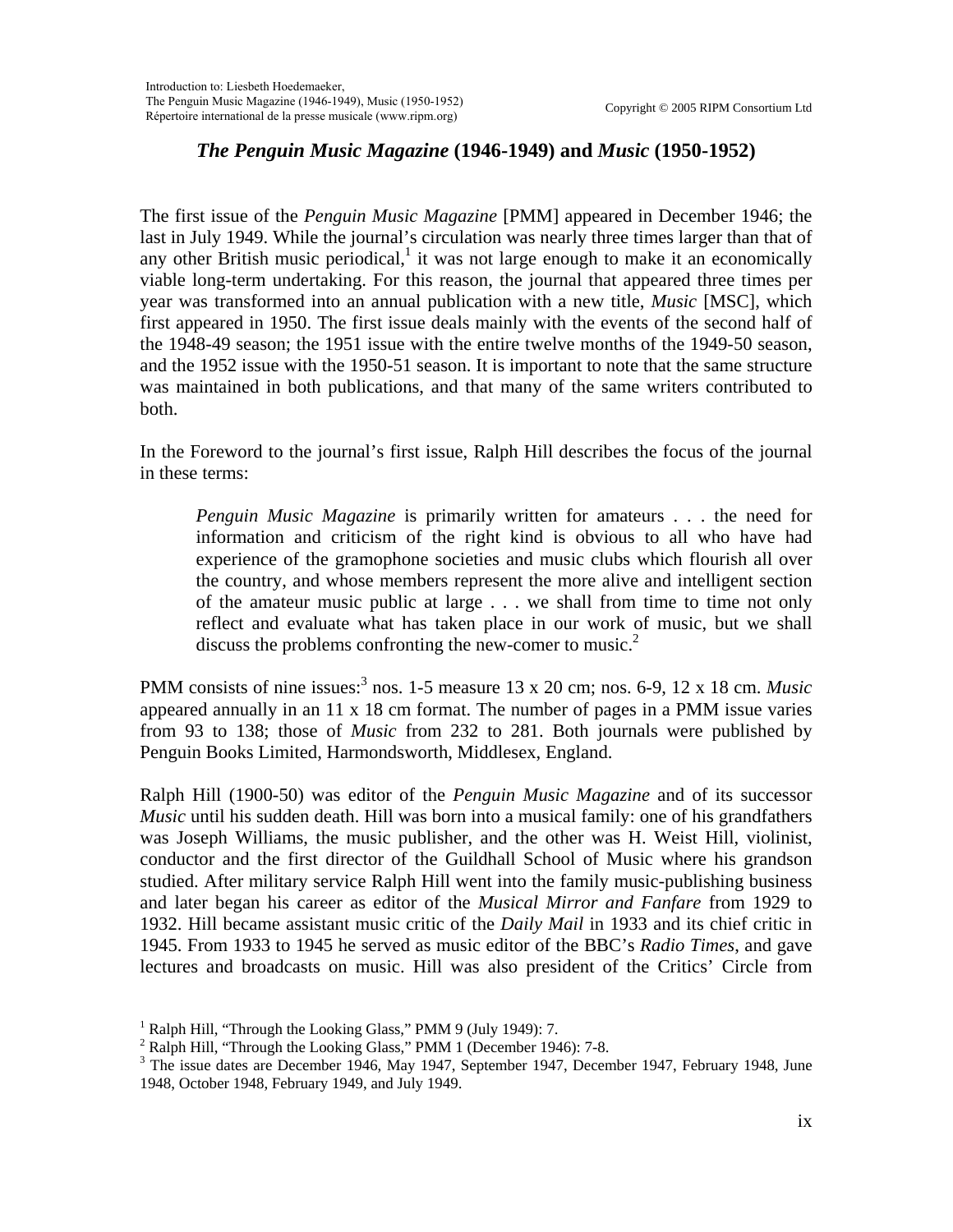## *The Penguin Music Magazine* **(1946-1949) and** *Music* **(1950-1952)**

The first issue of the *Penguin Music Magazine* [PMM] appeared in December 1946; the last in July 1949. While the journal's circulation was nearly three times larger than that of any other British music periodical, $\frac{1}{1}$  it was not large enough to make it an economically viable long-term undertaking. For this reason, the journal that appeared three times per year was transformed into an annual publication with a new title, *Music* [MSC], which first appeared in 1950. The first issue deals mainly with the events of the second half of the 1948-49 season; the 1951 issue with the entire twelve months of the 1949-50 season, and the 1952 issue with the 1950-51 season. It is important to note that the same structure was maintained in both publications, and that many of the same writers contributed to both.

In the Foreword to the journal's first issue, Ralph Hill describes the focus of the journal in these terms:

*Penguin Music Magazine* is primarily written for amateurs . . . the need for information and criticism of the right kind is obvious to all who have had experience of the gramophone societies and music clubs which flourish all over the country, and whose members represent the more alive and intelligent section of the amateur music public at large . . . we shall from time to time not only reflect and evaluate what has taken place in our work of music, but we shall discuss the problems confronting the new-comer to music.<sup>[2](#page-0-1)</sup>

PMM consists of nine issues:<sup>[3](#page-0-2)</sup> nos. 1-5 measure 13 x 20 cm; nos. 6-9, 12 x 18 cm. *Music* appeared annually in an 11 x 18 cm format. The number of pages in a PMM issue varies from 93 to 138; those of *Music* from 232 to 281. Both journals were published by Penguin Books Limited, Harmondsworth, Middlesex, England.

Ralph Hill (1900-50) was editor of the *Penguin Music Magazine* and of its successor *Music* until his sudden death. Hill was born into a musical family: one of his grandfathers was Joseph Williams, the music publisher, and the other was H. Weist Hill, violinist, conductor and the first director of the Guildhall School of Music where his grandson studied. After military service Ralph Hill went into the family music-publishing business and later began his career as editor of the *Musical Mirror and Fanfare* from 1929 to 1932. Hill became assistant music critic of the *Daily Mail* in 1933 and its chief critic in 1945. From 1933 to 1945 he served as music editor of the BBC's *Radio Times*, and gave lectures and broadcasts on music. Hill was also president of the Critics' Circle from

<span id="page-0-0"></span><sup>&</sup>lt;sup>1</sup> Ralph Hill, "Through the Looking Glass," PMM 9 (July 1949): 7.<br><sup>2</sup> Ralph Hill, "Through the Looking Glass," PMM 1 (December 104

<span id="page-0-1"></span> $2$  Ralph Hill, "Through the Looking Glass," PMM 1 (December 1946): 7-8.

<span id="page-0-2"></span> $3$  The issue dates are December 1946, May 1947, September 1947, December 1947, February 1948, June 1948, October 1948, February 1949, and July 1949.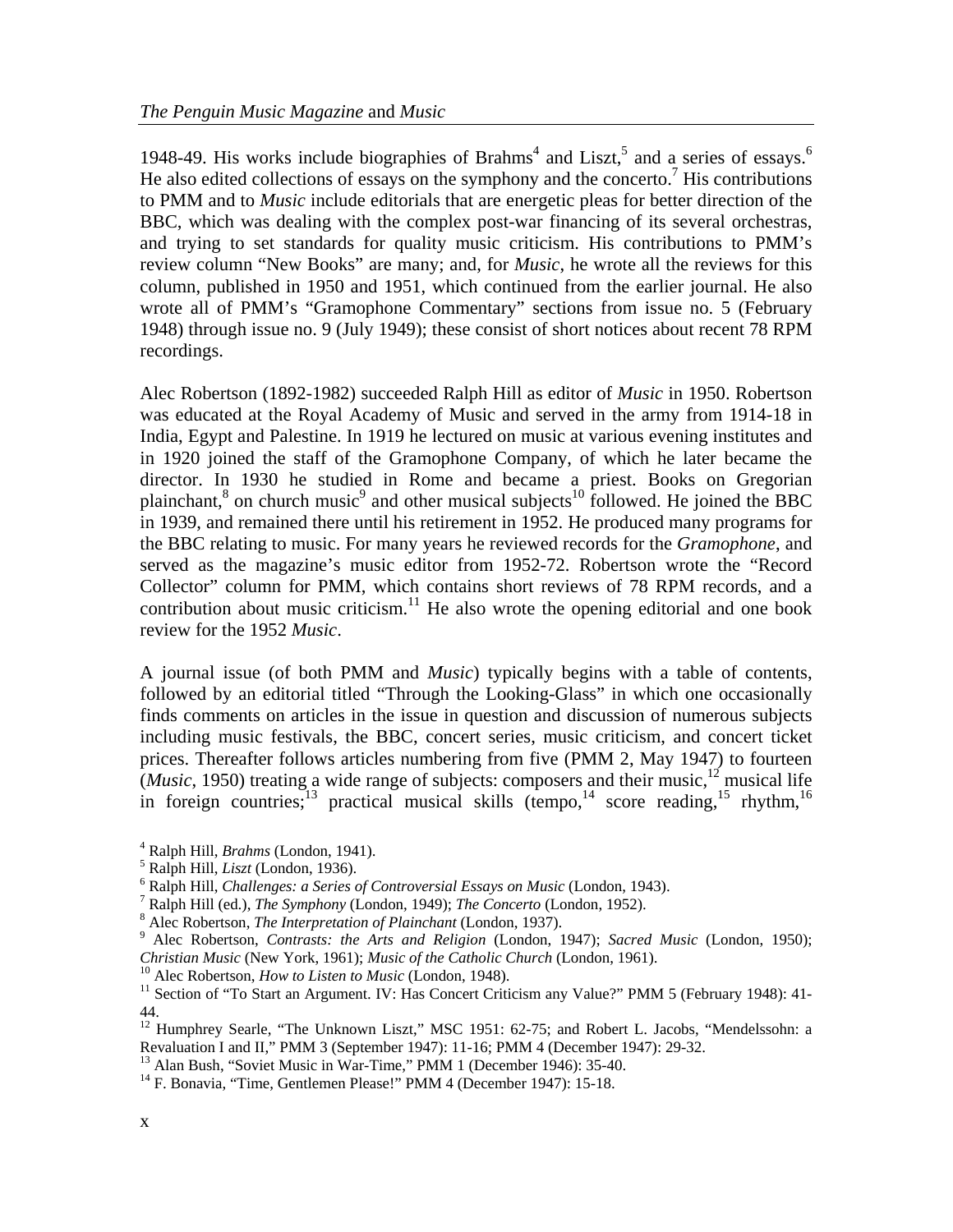19[4](#page-1-0)8-49. His works include biographies of Brahms<sup>4</sup> and Liszt,<sup>[5](#page-1-1)</sup> and a series of essays.<sup>[6](#page-1-2)</sup> He also edited collections of essays on the symphony and the concerto.<sup>[7](#page-1-3)</sup> His contributions to PMM and to *Music* include editorials that are energetic pleas for better direction of the BBC, which was dealing with the complex post-war financing of its several orchestras, and trying to set standards for quality music criticism. His contributions to PMM's review column "New Books" are many; and, for *Music*, he wrote all the reviews for this column, published in 1950 and 1951, which continued from the earlier journal. He also wrote all of PMM's "Gramophone Commentary" sections from issue no. 5 (February 1948) through issue no. 9 (July 1949); these consist of short notices about recent 78 RPM recordings.

Alec Robertson (1892-1982) succeeded Ralph Hill as editor of *Music* in 1950. Robertson was educated at the Royal Academy of Music and served in the army from 1914-18 in India, Egypt and Palestine. In 1919 he lectured on music at various evening institutes and in 1920 joined the staff of the Gramophone Company, of which he later became the director. In 1930 he studied in Rome and became a priest. Books on Gregorian plainchant,<sup>8</sup> on church music<sup>[9](#page-1-5)</sup> and other musical subjects<sup>10</sup> followed. He joined the BBC in 1939, and remained there until his retirement in 1952. He produced many programs for the BBC relating to music. For many years he reviewed records for the *Gramophone*, and served as the magazine's music editor from 1952-72. Robertson wrote the "Record Collector" column for PMM, which contains short reviews of 78 RPM records, and a contribution about music criticism.<sup>11</sup> He also wrote the opening editorial and one book review for the 1952 *Music*.

<span id="page-1-12"></span><span id="page-1-11"></span>A journal issue (of both PMM and *Music*) typically begins with a table of contents, followed by an editorial titled "Through the Looking-Glass" in which one occasionally finds comments on articles in the issue in question and discussion of numerous subjects including music festivals, the BBC, concert series, music criticism, and concert ticket prices. Thereafter follows articles numbering from five (PMM 2, May 1947) to fourteen (*Music*, 1950) treating a wide range of subjects: composers and their music,<sup>12</sup> musical life in foreign countries;<sup>13</sup> practical musical skills (tempo,<sup>14</sup> score reading,<sup>15</sup> rhythm,<sup>[16](#page-1-12)</sup>

<span id="page-1-6"></span>

<span id="page-1-0"></span><sup>&</sup>lt;sup>4</sup> Ralph Hill, *Brahms* (London, 1941).

<span id="page-1-1"></span><sup>&</sup>lt;sup>5</sup> Ralph Hill, *Liszt* (London, 1936).

<span id="page-1-2"></span>Ralph Hill, *Challenges: a Series of Controversial Essays on Music* (London, 1943). 7

<span id="page-1-3"></span><sup>&</sup>lt;sup>7</sup> Ralph Hill (ed.), *The Symphony* (London, 1949); *The Concerto* (London, 1952).

<span id="page-1-4"></span><sup>&</sup>lt;sup>8</sup> Alec Robertson, *The Interpretation of Plainchant* (London, 1937).

<span id="page-1-5"></span>Alec Robertson, *Contrasts: the Arts and Religion* (London, 1947); *Sacred Music* (London, 1950); Christian Music (New York, 1961); Music of the Catholic Church (London, 1961).<br><sup>10</sup> Alec Robertson, *How to Listen to Music* (London, 1948).<br><sup>11</sup> Section of "To Start an Argument. IV: Has Concert Criticism any Value?" PMM

<span id="page-1-7"></span><sup>44.</sup> 

<span id="page-1-8"></span><sup>&</sup>lt;sup>12</sup> Humphrey Searle, "The Unknown Liszt," MSC 1951: 62-75; and Robert L. Jacobs, "Mendelssohn: a Revaluation I and II," PMM 3 (September 1947): 11-16; PMM 4 (December 1947): 29-32.<br><sup>13</sup> Alan Bush, "Soviet Music in War-Time," PMM 1 (December 1946): 35-40.<br><sup>14</sup> F. Bonavia, "Time, Gentlemen Please!" PMM 4 (December 1947)

<span id="page-1-9"></span>

<span id="page-1-10"></span>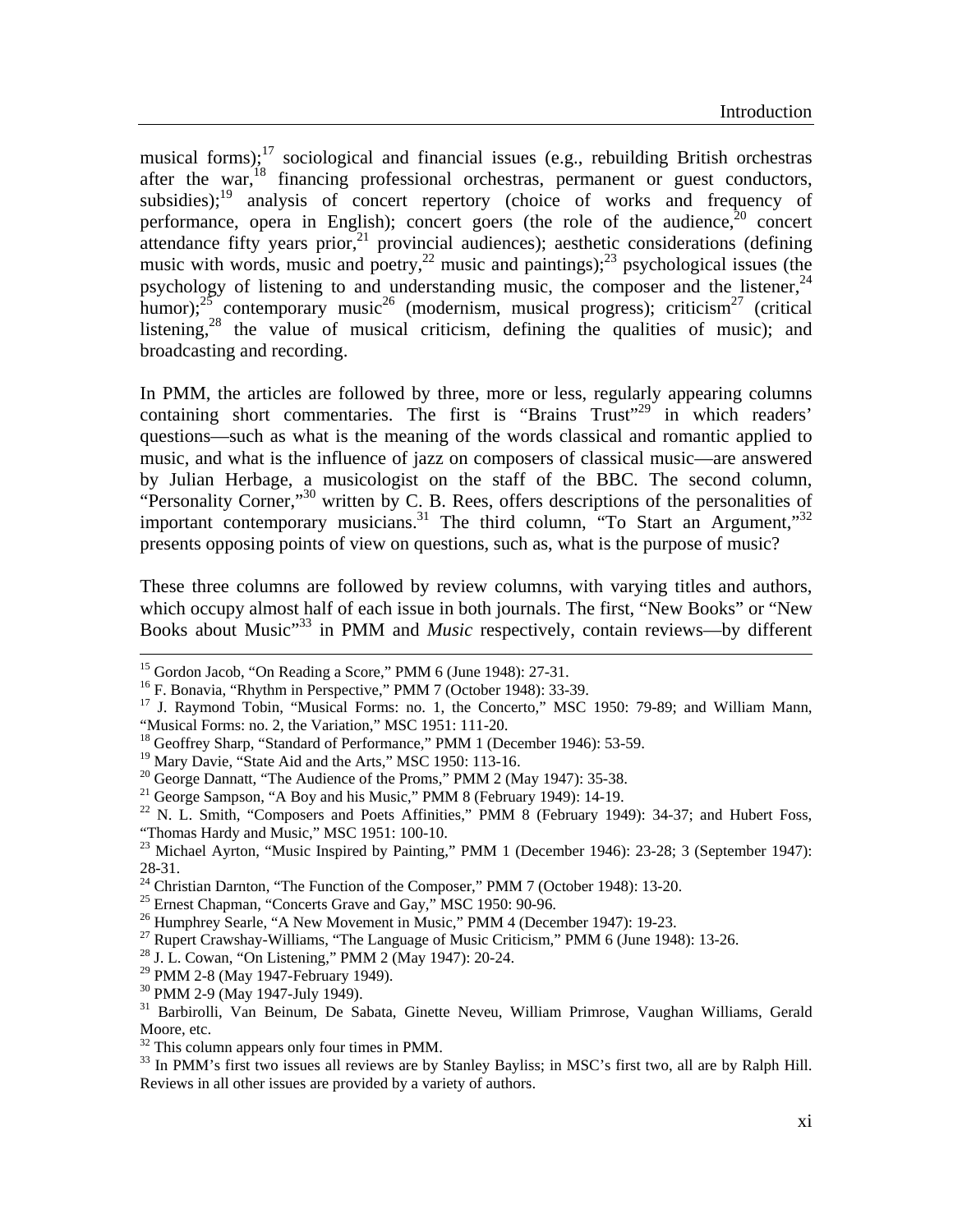musical forms);<sup>17</sup> sociological and financial issues (e.g., rebuilding British orchestras after the war,<sup>18</sup> financing professional orchestras, permanent or guest conductors, subsidies);<sup>19</sup> analysis of concert repertory (choice of works and frequency of performance, opera in English); concert goers (the role of the audience,  $20$  concert attendance fifty years prior,<sup>21</sup> provincial audiences); aesthetic considerations (defining music with words, music and poetry,  $2^2$  music and paintings);  $2^3$  psychological issues (the psychology of listening to and understanding music, the composer and the listener,  $24$ humor); $25$  contemporary music<sup>26</sup> (modernism, musical progress); criticism<sup>27</sup> (critical listening,<sup>28</sup> the value of musical criticism, defining the qualities of music); and broadcasting and recording.

In PMM, the articles are followed by three, more or less, regularly appearing columns containing short commentaries. The first is "Brains Trust"<sup>29</sup> in which readers' questions—such as what is the meaning of the words classical and romantic applied to music, and what is the influence of jazz on composers of classical music—are answered by Julian Herbage, a musicologist on the staff of the BBC. The second column, "Personality Corner,"<sup>30</sup> written by C. B. Rees, offers descriptions of the personalities of important contemporary musicians.<sup>31</sup> The third column, "To Start an Argument,"<sup>32</sup> presents opposing points of view on questions, such as, what is the purpose of music?

These three columns are followed by review columns, with varying titles and authors, which occupy almost half of each issue in both journals. The first, "New Books" or "New Books about Music"[33](#page-2-16) in PMM and *Music* respectively, contain reviews—by different

 $\overline{a}$ 

<sup>&</sup>lt;sup>15</sup> Gordon Jacob, "On Reading a Score," PMM 6 (June 1948): 27-31.

<sup>&</sup>lt;sup>16</sup> F. Bonavia, "Rhythm in Perspective," PMM 7 (October 1948): 33-39.

<span id="page-2-0"></span><sup>&</sup>lt;sup>17</sup> J. Raymond Tobin, "Musical Forms: no. 1, the Concerto," MSC 1950: 79-89; and William Mann, "Musical Forms: no. 2, the Variation," MSC 1951: 111-20.

<span id="page-2-1"></span><sup>&</sup>lt;sup>18</sup> Geoffrey Sharp, "Standard of Performance," PMM 1 (December 1946): 53-59.

<span id="page-2-3"></span><span id="page-2-2"></span>

<sup>&</sup>lt;sup>19</sup> Mary Davie, "State Aid and the Arts," MSC 1950: 113-16.<br><sup>20</sup> George Dannatt, "The Audience of the Proms," PMM 2 (May 1947): 35-38.

<span id="page-2-5"></span><span id="page-2-4"></span>

<sup>&</sup>lt;sup>21</sup> George Sampson, "A Boy and his Music," PMM 8 (February 1949): 14-19.<br><sup>22</sup> N. L. Smith, "Composers and Poets Affinities," PMM 8 (February 1949): 34-37; and Hubert Foss, "Thomas Hardy and Music," MSC 1951: 100-10.

<span id="page-2-6"></span><sup>&</sup>lt;sup>23</sup> Michael Ayrton, "Music Inspired by Painting," PMM 1 (December 1946): 23-28; 3 (September 1947): 28-31.

<span id="page-2-7"></span> $24$  Christian Darnton, "The Function of the Composer," PMM 7 (October 1948): 13-20.

<span id="page-2-8"></span>

<span id="page-2-10"></span><span id="page-2-9"></span>

<sup>&</sup>lt;sup>25</sup> Ernest Chapman, "Concerts Grave and Gay," MSC 1950: 90-96.<br><sup>26</sup> Humphrey Searle, "A New Movement in Music," PMM 4 (December 1947): 19-23.<br><sup>27</sup> Rupert Crawshay-Williams, "The Language of Music Criticism," PMM 6 (June

<span id="page-2-11"></span>

<span id="page-2-12"></span><sup>29</sup> PMM 2-8 (May 1947-February 1949).

<span id="page-2-13"></span><sup>30</sup> PMM 2-9 (May 1947-July 1949).

<span id="page-2-14"></span><sup>31</sup> Barbirolli, Van Beinum, De Sabata, Ginette Neveu, William Primrose, Vaughan Williams, Gerald Moore, etc.

<span id="page-2-15"></span> $32$  This column appears only four times in PMM.

<span id="page-2-16"></span><sup>&</sup>lt;sup>33</sup> In PMM's first two issues all reviews are by Stanley Bayliss; in MSC's first two, all are by Ralph Hill. Reviews in all other issues are provided by a variety of authors.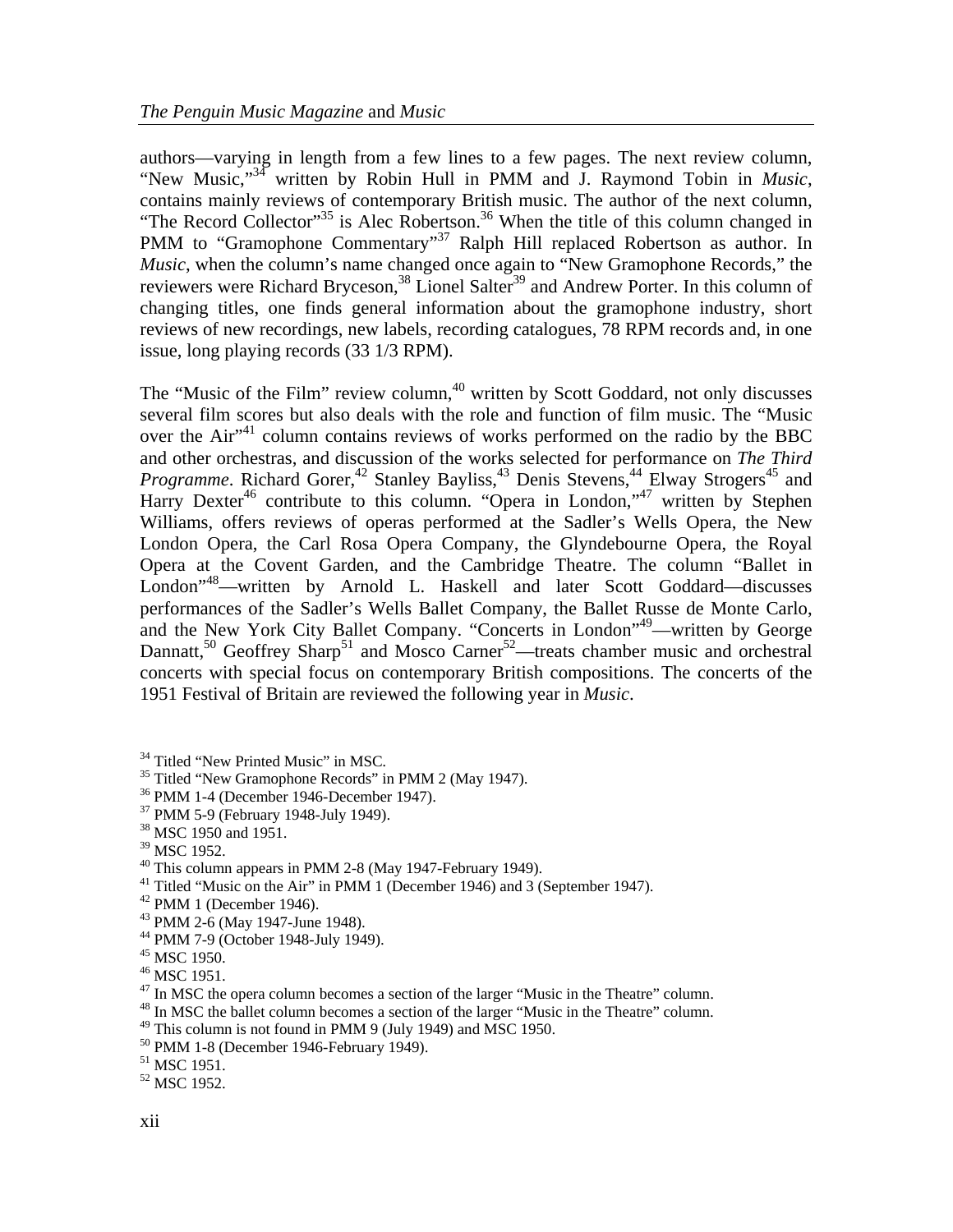authors—varying in length from a few lines to a few pages. The next review column, "New Music,"[34](#page-3-0) written by Robin Hull in PMM and J. Raymond Tobin in *Music*, contains mainly reviews of contemporary British music. The author of the next column, "The Record Collector"<sup>35</sup> is Alec Robertson.<sup>36</sup> When the title of this column changed in PMM to "Gramophone Commentary"<sup>37</sup> Ralph Hill replaced Robertson as author. In *Music*, when the column's name changed once again to "New Gramophone Records," the reviewers were Richard Bryceson,<sup>38</sup> Lionel Salter<sup>39</sup> and Andrew Porter. In this column of changing titles, one finds general information about the gramophone industry, short reviews of new recordings, new labels, recording catalogues, 78 RPM records and, in one issue, long playing records (33 1/3 RPM).

The "Music of the Film" review column, $40$  written by Scott Goddard, not only discusses several film scores but also deals with the role and function of film music. The "Music over the Air<sup>141</sup> column contains reviews of works performed on the radio by the BBC and other orchestras, and discussion of the works selected for performance on *The Third Programme*. Richard Gorer,<sup>42</sup> Stanley Bayliss,<sup>43</sup> Denis Stevens,<sup>44</sup> Elway Strogers<sup>45</sup> and Harry Dexter<sup>46</sup> contribute to this column. "Opera in London,"<sup>47</sup> written by Stephen Williams, offers reviews of operas performed at the Sadler's Wells Opera, the New London Opera, the Carl Rosa Opera Company, the Glyndebourne Opera, the Royal Opera at the Covent Garden, and the Cambridge Theatre. The column "Ballet in London"<sup>48</sup>—written by Arnold L. Haskell and later Scott Goddard—discusses performances of the Sadler's Wells Ballet Company, the Ballet Russe de Monte Carlo, and the New York City Ballet Company. "Concerts in London"[49—](#page-3-15)written by George Dannatt,<sup>50</sup> Geoffrey Sharp<sup>51</sup> and Mosco Carner<sup>52</sup>—treats chamber music and orchestral concerts with special focus on contemporary British compositions. The concerts of the 1951 Festival of Britain are reviewed the following year in *Music*.

- <span id="page-3-7"></span><sup>41</sup> Titled "Music on the Air" in PMM 1 (December 1946) and 3 (September 1947).
- <span id="page-3-8"></span> $42$  PMM 1 (December 1946).

<span id="page-3-10"></span>44 PMM 7-9 (October 1948-July 1949).

- <span id="page-3-15"></span><sup>49</sup> This column is not found in PMM 9 (July 1949) and MSC 1950.<br><sup>50</sup> PMM 1-8 (December 1946-February 1949).
- <span id="page-3-16"></span>
- <span id="page-3-17"></span>51 MSC 1951.

<span id="page-3-1"></span><span id="page-3-0"></span>

<sup>&</sup>lt;sup>34</sup> Titled "New Printed Music" in MSC.<br><sup>35</sup> Titled "New Gramophone Records" in PMM 2 (May 1947).

<span id="page-3-2"></span> $36$  PMM 1-4 (December 1946-December 1947).<br> $37$  PMM 5-9 (February 1948-July 1949).

<span id="page-3-3"></span>

<span id="page-3-4"></span><sup>38</sup> MSC 1950 and 1951.

<span id="page-3-5"></span><sup>&</sup>lt;sup>39</sup> MSC 1952.

<span id="page-3-6"></span><sup>40</sup> This column appears in PMM 2-8 (May 1947-February 1949).

<span id="page-3-9"></span><sup>43</sup> PMM 2-6 (May 1947-June 1948).

<span id="page-3-11"></span><sup>&</sup>lt;sup>45</sup> MSC 1950.<br><sup>46</sup> MSC 1951.

<span id="page-3-12"></span>

<span id="page-3-13"></span><sup>&</sup>lt;sup>47</sup> In MSC the opera column becomes a section of the larger "Music in the Theatre" column.  $48$  In MSC the ballet column becomes a section of the larger "Music in the Theatre" column.

<span id="page-3-14"></span>

<span id="page-3-18"></span><sup>52</sup> MSC 1952.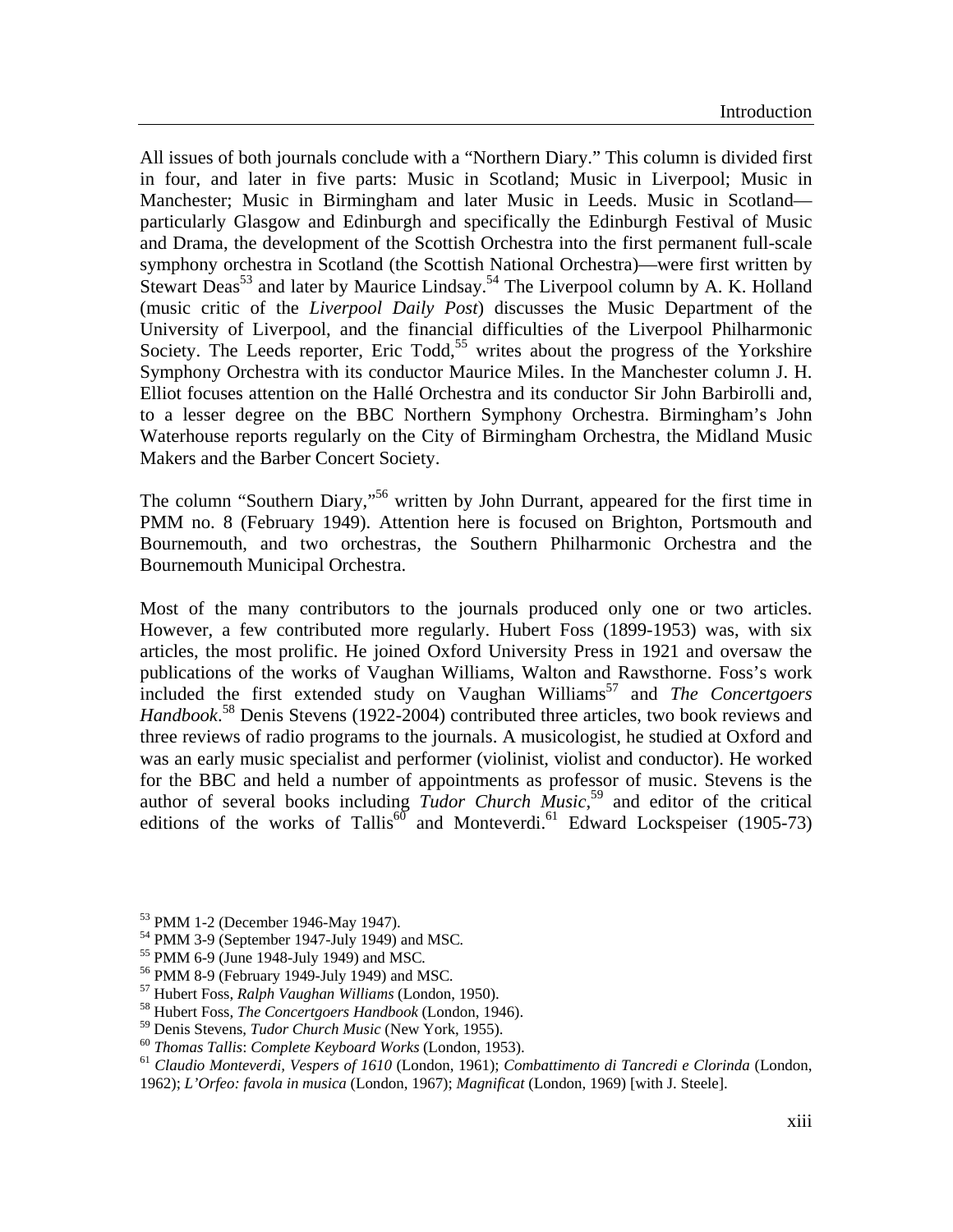All issues of both journals conclude with a "Northern Diary." This column is divided first in four, and later in five parts: Music in Scotland; Music in Liverpool; Music in Manchester; Music in Birmingham and later Music in Leeds. Music in Scotland particularly Glasgow and Edinburgh and specifically the Edinburgh Festival of Music and Drama, the development of the Scottish Orchestra into the first permanent full-scale symphony orchestra in Scotland (the Scottish National Orchestra)—were first written by Stewart Deas<sup>53</sup> and later by Maurice Lindsay.<sup>54</sup> The Liverpool column by A. K. Holland (music critic of the *Liverpool Daily Post*) discusses the Music Department of the University of Liverpool, and the financial difficulties of the Liverpool Philharmonic Society. The Leeds reporter, Eric Todd,<sup>55</sup> writes about the progress of the Yorkshire Symphony Orchestra with its conductor Maurice Miles. In the Manchester column J. H. Elliot focuses attention on the Hallé Orchestra and its conductor Sir John Barbirolli and, to a lesser degree on the BBC Northern Symphony Orchestra. Birmingham's John Waterhouse reports regularly on the City of Birmingham Orchestra, the Midland Music Makers and the Barber Concert Society.

The column "Southern Diary,"<sup>56</sup> written by John Durrant, appeared for the first time in PMM no. 8 (February 1949). Attention here is focused on Brighton, Portsmouth and Bournemouth, and two orchestras, the Southern Philharmonic Orchestra and the Bournemouth Municipal Orchestra.

Most of the many contributors to the journals produced only one or two articles. However, a few contributed more regularly. Hubert Foss (1899-1953) was, with six articles, the most prolific. He joined Oxford University Press in 1921 and oversaw the publications of the works of Vaughan Williams, Walton and Rawsthorne. Foss's work included the first extended study on Vaughan Williams<sup>57</sup> and *The Concertgoers Handbook*. [58](#page-4-5) Denis Stevens (1922-2004) contributed three articles, two book reviews and three reviews of radio programs to the journals. A musicologist, he studied at Oxford and was an early music specialist and performer (violinist, violist and conductor). He worked for the BBC and held a number of appointments as professor of music. Stevens is the author of several books including *Tudor Church Music*, [59](#page-4-6) and editor of the critical editions of the works of Tallis<sup>60</sup> and Monteverdi.<sup>61</sup> Edward Lockspeiser (1905-73)

<span id="page-4-1"></span><span id="page-4-0"></span>

 $^{53}$  PMM 1-2 (December 1946-May 1947).<br> $^{54}$  PMM 3-9 (September 1947-July 1949) and MSC.

<span id="page-4-2"></span>

<span id="page-4-3"></span>

<span id="page-4-5"></span><span id="page-4-4"></span>

<sup>&</sup>lt;sup>55</sup> PMM 6-9 (June 1948-July 1949) and MSC.<br><sup>56</sup> PMM 8-9 (February 1949-July 1949) and MSC.<br><sup>57</sup> Hubert Foss, *Ralph Vaughan Williams* (London, 1950).<br><sup>58</sup> Hubert Foss, *The Concertgoers Handbook* (London, 1946).<br><sup>59</sup> Den

<span id="page-4-6"></span>

<span id="page-4-8"></span><span id="page-4-7"></span>

 $^{60}$  Thomas Tallis: Complete Keyboard Works (London, 1953).<br><sup>61</sup> Claudio Monteverdi, Vespers of 1610 (London, 1961); Combattimento di Tancredi e Clorinda (London, 1962); *L'Orfeo: favola in musica* (London, 1967); *Magnificat* (London, 1969) [with J. Steele].